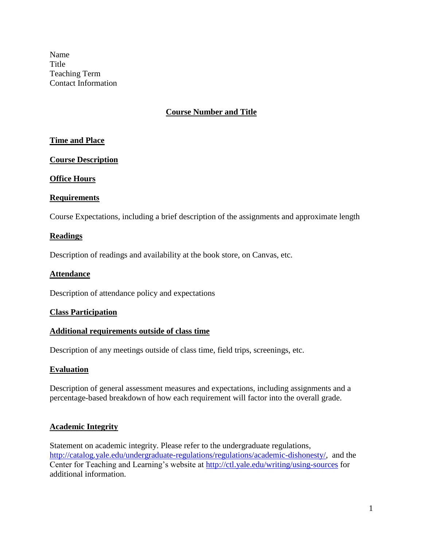Name **Title** Teaching Term Contact Information

## **Course Number and Title**

## **Time and Place**

## **Course Description**

#### **Office Hours**

## **Requirements**

Course Expectations, including a brief description of the assignments and approximate length

#### **Readings**

Description of readings and availability at the book store, on Canvas, etc.

#### **Attendance**

Description of attendance policy and expectations

#### **Class Participation**

#### **Additional requirements outside of class time**

Description of any meetings outside of class time, field trips, screenings, etc.

#### **Evaluation**

Description of general assessment measures and expectations, including assignments and a percentage-based breakdown of how each requirement will factor into the overall grade.

#### **Academic Integrity**

Statement on academic integrity. Please refer to the undergraduate regulations, [http://catalog.yale.edu/undergraduate-regulations/regulations/academic-dishonesty/,](http://catalog.yale.edu/undergraduate-regulations/regulations/academic-dishonesty/) and the Center for Teaching and Learning's website at<http://ctl.yale.edu/writing/using-sources> for additional information.